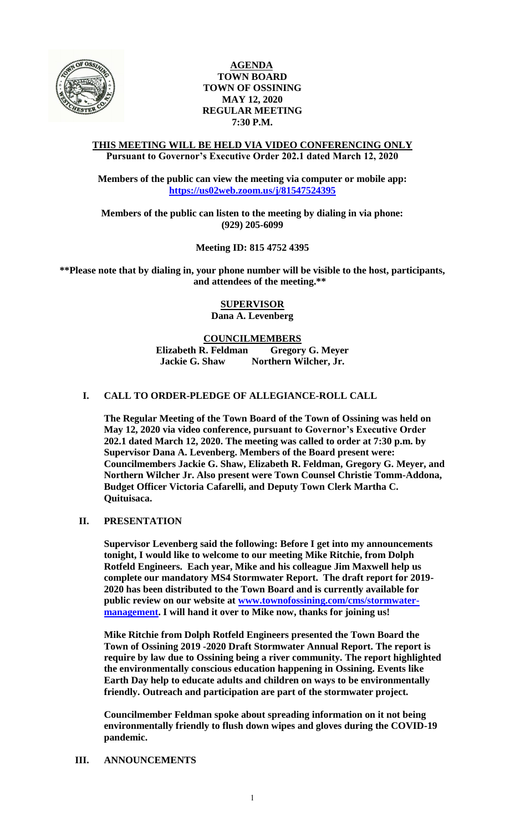

## **AGENDA TOWN BOARD TOWN OF OSSINING MAY 12, 2020 REGULAR MEETING 7:30 P.M.**

### **THIS MEETING WILL BE HELD VIA VIDEO CONFERENCING ONLY Pursuant to Governor's Executive Order 202.1 dated March 12, 2020**

**Members of the public can view the meeting via computer or mobile app: <https://us02web.zoom.us/j/81547524395>**

**Members of the public can listen to the meeting by dialing in via phone: (929) 205-6099**

**Meeting ID: 815 4752 4395**

**\*\*Please note that by dialing in, your phone number will be visible to the host, participants, and attendees of the meeting.\*\*** 

> **SUPERVISOR Dana A. Levenberg**

# **COUNCILMEMBERS**

**Elizabeth R. Feldman Gregory G. Meyer Jackie G. Shaw Northern Wilcher, Jr.**

## **I. CALL TO ORDER-PLEDGE OF ALLEGIANCE-ROLL CALL**

**The Regular Meeting of the Town Board of the Town of Ossining was held on May 12, 2020 via video conference, pursuant to Governor's Executive Order 202.1 dated March 12, 2020. The meeting was called to order at 7:30 p.m. by Supervisor Dana A. Levenberg. Members of the Board present were: Councilmembers Jackie G. Shaw, Elizabeth R. Feldman, Gregory G. Meyer, and Northern Wilcher Jr. Also present were Town Counsel Christie Tomm-Addona, Budget Officer Victoria Cafarelli, and Deputy Town Clerk Martha C. Quituisaca.**

## **II. PRESENTATION**

**Supervisor Levenberg said the following: Before I get into my announcements tonight, I would like to welcome to our meeting Mike Ritchie, from Dolph Rotfeld Engineers. Each year, Mike and his colleague Jim Maxwell help us complete our mandatory MS4 Stormwater Report. The draft report for 2019- 2020 has been distributed to the Town Board and is currently available for public review on our website at [www.townofossining.com/cms/stormwater](http://www.townofossining.com/cms/stormwater-management)[management.](http://www.townofossining.com/cms/stormwater-management) I will hand it over to Mike now, thanks for joining us!**

**Mike Ritchie from Dolph Rotfeld Engineers presented the Town Board the Town of Ossining 2019 -2020 Draft Stormwater Annual Report. The report is require by law due to Ossining being a river community. The report highlighted the environmentally conscious education happening in Ossining. Events like Earth Day help to educate adults and children on ways to be environmentally friendly. Outreach and participation are part of the stormwater project.**

**Councilmember Feldman spoke about spreading information on it not being environmentally friendly to flush down wipes and gloves during the COVID-19 pandemic.** 

## **III. ANNOUNCEMENTS**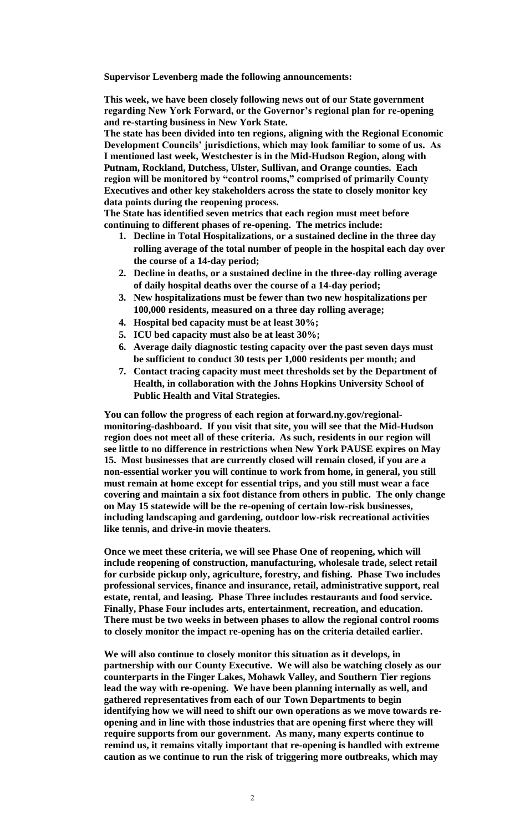**Supervisor Levenberg made the following announcements:**

**This week, we have been closely following news out of our State government regarding New York Forward, or the Governor's regional plan for re-opening and re-starting business in New York State.** 

**The state has been divided into ten regions, aligning with the Regional Economic Development Councils' jurisdictions, which may look familiar to some of us. As I mentioned last week, Westchester is in the Mid-Hudson Region, along with Putnam, Rockland, Dutchess, Ulster, Sullivan, and Orange counties. Each region will be monitored by "control rooms," comprised of primarily County Executives and other key stakeholders across the state to closely monitor key data points during the reopening process.** 

**The State has identified seven metrics that each region must meet before continuing to different phases of re-opening. The metrics include:**

- **1. Decline in Total Hospitalizations, or a sustained decline in the three day rolling average of the total number of people in the hospital each day over the course of a 14-day period;**
- **2. Decline in deaths, or a sustained decline in the three-day rolling average of daily hospital deaths over the course of a 14-day period;**
- **3. New hospitalizations must be fewer than two new hospitalizations per 100,000 residents, measured on a three day rolling average;**
- **4. Hospital bed capacity must be at least 30%;**
- **5. ICU bed capacity must also be at least 30%;**
- **6. Average daily diagnostic testing capacity over the past seven days must be sufficient to conduct 30 tests per 1,000 residents per month; and**
- **7. Contact tracing capacity must meet thresholds set by the Department of Health, in collaboration with the Johns Hopkins University School of Public Health and Vital Strategies.**

**You can follow the progress of each region at forward.ny.gov/regionalmonitoring-dashboard. If you visit that site, you will see that the Mid-Hudson region does not meet all of these criteria. As such, residents in our region will see little to no difference in restrictions when New York PAUSE expires on May 15. Most businesses that are currently closed will remain closed, if you are a non-essential worker you will continue to work from home, in general, you still must remain at home except for essential trips, and you still must wear a face covering and maintain a six foot distance from others in public. The only change on May 15 statewide will be the re-opening of certain low-risk businesses, including landscaping and gardening, outdoor low-risk recreational activities like tennis, and drive-in movie theaters.** 

**Once we meet these criteria, we will see Phase One of reopening, which will include reopening of construction, manufacturing, wholesale trade, select retail for curbside pickup only, agriculture, forestry, and fishing. Phase Two includes professional services, finance and insurance, retail, administrative support, real estate, rental, and leasing. Phase Three includes restaurants and food service. Finally, Phase Four includes arts, entertainment, recreation, and education. There must be two weeks in between phases to allow the regional control rooms to closely monitor the impact re-opening has on the criteria detailed earlier.** 

**We will also continue to closely monitor this situation as it develops, in partnership with our County Executive. We will also be watching closely as our counterparts in the Finger Lakes, Mohawk Valley, and Southern Tier regions lead the way with re-opening. We have been planning internally as well, and gathered representatives from each of our Town Departments to begin identifying how we will need to shift our own operations as we move towards reopening and in line with those industries that are opening first where they will require supports from our government. As many, many experts continue to remind us, it remains vitally important that re-opening is handled with extreme caution as we continue to run the risk of triggering more outbreaks, which may**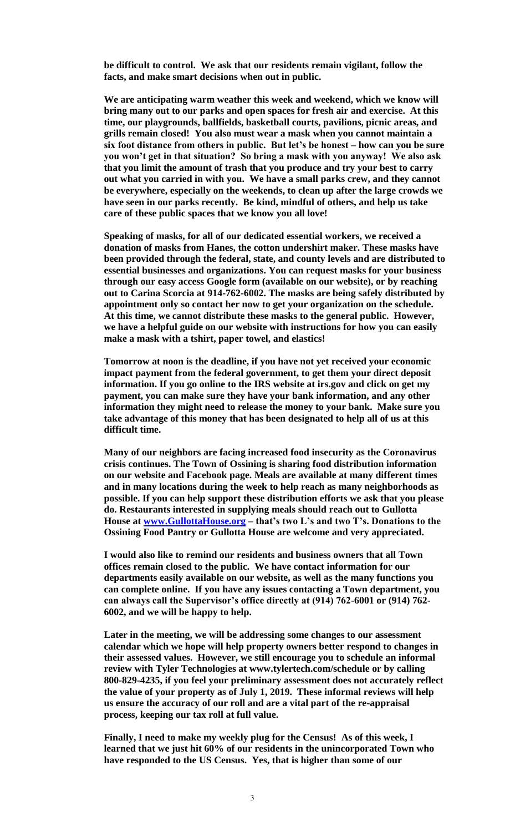**be difficult to control. We ask that our residents remain vigilant, follow the facts, and make smart decisions when out in public.** 

**We are anticipating warm weather this week and weekend, which we know will bring many out to our parks and open spaces for fresh air and exercise. At this time, our playgrounds, ballfields, basketball courts, pavilions, picnic areas, and grills remain closed! You also must wear a mask when you cannot maintain a six foot distance from others in public. But let's be honest – how can you be sure you won't get in that situation? So bring a mask with you anyway! We also ask that you limit the amount of trash that you produce and try your best to carry out what you carried in with you. We have a small parks crew, and they cannot be everywhere, especially on the weekends, to clean up after the large crowds we have seen in our parks recently. Be kind, mindful of others, and help us take care of these public spaces that we know you all love!**

**Speaking of masks, for all of our dedicated essential workers, we received a donation of masks from Hanes, the cotton undershirt maker. These masks have been provided through the federal, state, and county levels and are distributed to essential businesses and organizations. You can request masks for your business through our easy access Google form (available on our website), or by reaching out to Carina Scorcia at 914-762-6002. The masks are being safely distributed by appointment only so contact her now to get your organization on the schedule. At this time, we cannot distribute these masks to the general public. However, we have a helpful guide on our website with instructions for how you can easily make a mask with a tshirt, paper towel, and elastics!** 

**Tomorrow at noon is the deadline, if you have not yet received your economic impact payment from the federal government, to get them your direct deposit information. If you go online to the IRS website at irs.gov and click on get my payment, you can make sure they have your bank information, and any other information they might need to release the money to your bank. Make sure you take advantage of this money that has been designated to help all of us at this difficult time.**

**Many of our neighbors are facing increased food insecurity as the Coronavirus crisis continues. The Town of Ossining is sharing food distribution information on our website and Facebook page. Meals are available at many different times and in many locations during the week to help reach as many neighborhoods as possible. If you can help support these distribution efforts we ask that you please do. Restaurants interested in supplying meals should reach out to Gullotta House at [www.GullottaHouse.org](http://www.gullottahouse.org/) – that's two L's and two T's. Donations to the Ossining Food Pantry or Gullotta House are welcome and very appreciated.** 

**I would also like to remind our residents and business owners that all Town offices remain closed to the public. We have contact information for our departments easily available on our website, as well as the many functions you can complete online. If you have any issues contacting a Town department, you can always call the Supervisor's office directly at (914) 762-6001 or (914) 762- 6002, and we will be happy to help.** 

**Later in the meeting, we will be addressing some changes to our assessment calendar which we hope will help property owners better respond to changes in their assessed values. However, we still encourage you to schedule an informal review with Tyler Technologies at www.tylertech.com/schedule or by calling 800-829-4235, if you feel your preliminary assessment does not accurately reflect the value of your property as of July 1, 2019. These informal reviews will help us ensure the accuracy of our roll and are a vital part of the re-appraisal process, keeping our tax roll at full value.** 

**Finally, I need to make my weekly plug for the Census! As of this week, I learned that we just hit 60% of our residents in the unincorporated Town who have responded to the US Census. Yes, that is higher than some of our**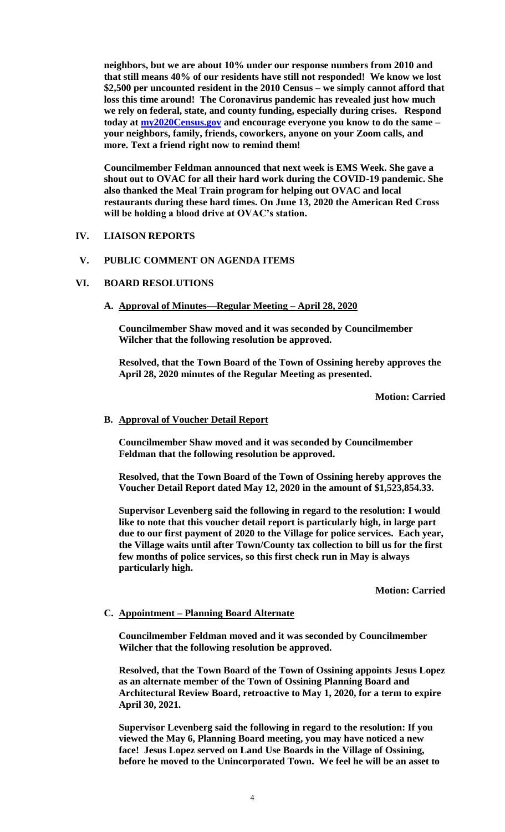**neighbors, but we are about 10% under our response numbers from 2010 and that still means 40% of our residents have still not responded! We know we lost \$2,500 per uncounted resident in the 2010 Census – we simply cannot afford that loss this time around! The Coronavirus pandemic has revealed just how much we rely on federal, state, and county funding, especially during crises. Respond today at [my2020Census.gov](http://www.2020census.gov/) and encourage everyone you know to do the same – your neighbors, family, friends, coworkers, anyone on your Zoom calls, and more. Text a friend right now to remind them!**

**Councilmember Feldman announced that next week is EMS Week. She gave a shout out to OVAC for all their hard work during the COVID-19 pandemic. She also thanked the Meal Train program for helping out OVAC and local restaurants during these hard times. On June 13, 2020 the American Red Cross will be holding a blood drive at OVAC's station.**

### **IV. LIAISON REPORTS**

### **V. PUBLIC COMMENT ON AGENDA ITEMS**

### **VI. BOARD RESOLUTIONS**

**A. Approval of Minutes—Regular Meeting – April 28, 2020**

**Councilmember Shaw moved and it was seconded by Councilmember Wilcher that the following resolution be approved.**

**Resolved, that the Town Board of the Town of Ossining hereby approves the April 28, 2020 minutes of the Regular Meeting as presented.**

**Motion: Carried**

#### **B. Approval of Voucher Detail Report**

**Councilmember Shaw moved and it was seconded by Councilmember Feldman that the following resolution be approved.**

**Resolved, that the Town Board of the Town of Ossining hereby approves the Voucher Detail Report dated May 12, 2020 in the amount of \$1,523,854.33.**

**Supervisor Levenberg said the following in regard to the resolution: I would like to note that this voucher detail report is particularly high, in large part due to our first payment of 2020 to the Village for police services. Each year, the Village waits until after Town/County tax collection to bill us for the first few months of police services, so this first check run in May is always particularly high.** 

**Motion: Carried**

#### **C. Appointment – Planning Board Alternate**

**Councilmember Feldman moved and it was seconded by Councilmember Wilcher that the following resolution be approved.**

**Resolved, that the Town Board of the Town of Ossining appoints Jesus Lopez as an alternate member of the Town of Ossining Planning Board and Architectural Review Board, retroactive to May 1, 2020, for a term to expire April 30, 2021.**

**Supervisor Levenberg said the following in regard to the resolution: If you viewed the May 6, Planning Board meeting, you may have noticed a new face! Jesus Lopez served on Land Use Boards in the Village of Ossining, before he moved to the Unincorporated Town. We feel he will be an asset to**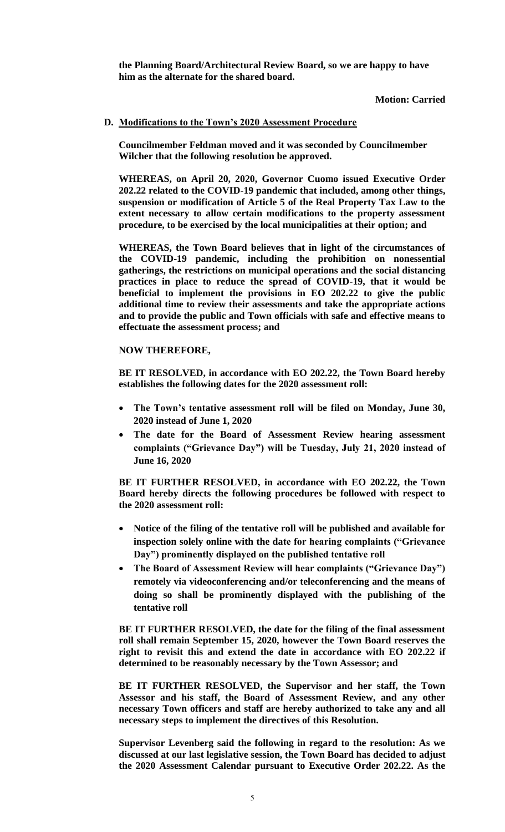**the Planning Board/Architectural Review Board, so we are happy to have him as the alternate for the shared board.** 

### **Motion: Carried**

## **D. Modifications to the Town's 2020 Assessment Procedure**

**Councilmember Feldman moved and it was seconded by Councilmember Wilcher that the following resolution be approved.**

**WHEREAS, on April 20, 2020, Governor Cuomo issued Executive Order 202.22 related to the COVID-19 pandemic that included, among other things, suspension or modification of Article 5 of the Real Property Tax Law to the extent necessary to allow certain modifications to the property assessment procedure, to be exercised by the local municipalities at their option; and**

**WHEREAS, the Town Board believes that in light of the circumstances of the COVID-19 pandemic, including the prohibition on nonessential gatherings, the restrictions on municipal operations and the social distancing practices in place to reduce the spread of COVID-19, that it would be beneficial to implement the provisions in EO 202.22 to give the public additional time to review their assessments and take the appropriate actions and to provide the public and Town officials with safe and effective means to effectuate the assessment process; and**

### **NOW THEREFORE,**

**BE IT RESOLVED, in accordance with EO 202.22, the Town Board hereby establishes the following dates for the 2020 assessment roll:**

- **The Town's tentative assessment roll will be filed on Monday, June 30, 2020 instead of June 1, 2020**
- **The date for the Board of Assessment Review hearing assessment complaints ("Grievance Day") will be Tuesday, July 21, 2020 instead of June 16, 2020**

**BE IT FURTHER RESOLVED, in accordance with EO 202.22, the Town Board hereby directs the following procedures be followed with respect to the 2020 assessment roll:**

- **Notice of the filing of the tentative roll will be published and available for inspection solely online with the date for hearing complaints ("Grievance Day") prominently displayed on the published tentative roll**
- **The Board of Assessment Review will hear complaints ("Grievance Day") remotely via videoconferencing and/or teleconferencing and the means of doing so shall be prominently displayed with the publishing of the tentative roll**

**BE IT FURTHER RESOLVED, the date for the filing of the final assessment roll shall remain September 15, 2020, however the Town Board reserves the right to revisit this and extend the date in accordance with EO 202.22 if determined to be reasonably necessary by the Town Assessor; and**

**BE IT FURTHER RESOLVED, the Supervisor and her staff, the Town Assessor and his staff, the Board of Assessment Review, and any other necessary Town officers and staff are hereby authorized to take any and all necessary steps to implement the directives of this Resolution.**

**Supervisor Levenberg said the following in regard to the resolution: As we discussed at our last legislative session, the Town Board has decided to adjust the 2020 Assessment Calendar pursuant to Executive Order 202.22. As the**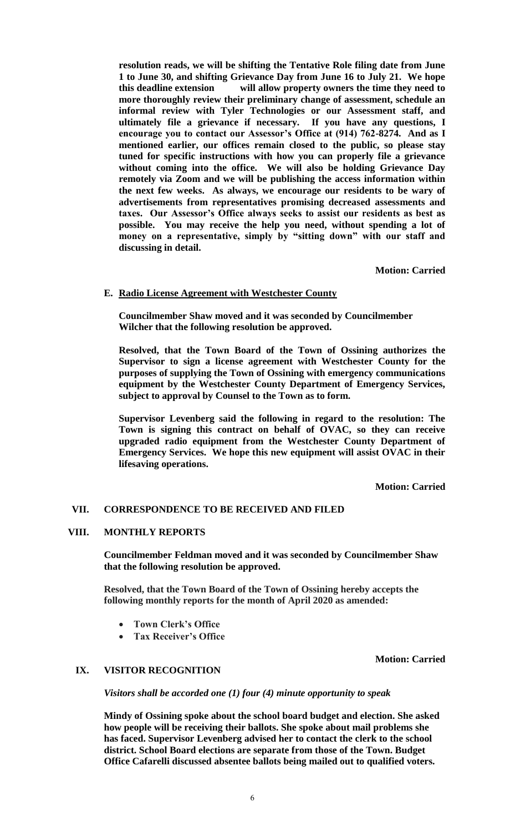**resolution reads, we will be shifting the Tentative Role filing date from June 1 to June 30, and shifting Grievance Day from June 16 to July 21. We hope this deadline extension will allow property owners the time they need to more thoroughly review their preliminary change of assessment, schedule an informal review with Tyler Technologies or our Assessment staff, and ultimately file a grievance if necessary. If you have any questions, I encourage you to contact our Assessor's Office at (914) 762-8274. And as I mentioned earlier, our offices remain closed to the public, so please stay tuned for specific instructions with how you can properly file a grievance without coming into the office. We will also be holding Grievance Day remotely via Zoom and we will be publishing the access information within the next few weeks. As always, we encourage our residents to be wary of advertisements from representatives promising decreased assessments and taxes. Our Assessor's Office always seeks to assist our residents as best as possible. You may receive the help you need, without spending a lot of money on a representative, simply by "sitting down" with our staff and discussing in detail.** 

**Motion: Carried**

## **E. Radio License Agreement with Westchester County**

**Councilmember Shaw moved and it was seconded by Councilmember Wilcher that the following resolution be approved.**

**Resolved, that the Town Board of the Town of Ossining authorizes the Supervisor to sign a license agreement with Westchester County for the purposes of supplying the Town of Ossining with emergency communications equipment by the Westchester County Department of Emergency Services, subject to approval by Counsel to the Town as to form.**

**Supervisor Levenberg said the following in regard to the resolution: The Town is signing this contract on behalf of OVAC, so they can receive upgraded radio equipment from the Westchester County Department of Emergency Services. We hope this new equipment will assist OVAC in their lifesaving operations.**

**Motion: Carried**

#### **VII. CORRESPONDENCE TO BE RECEIVED AND FILED**

#### **VIII. MONTHLY REPORTS**

**Councilmember Feldman moved and it was seconded by Councilmember Shaw that the following resolution be approved.**

**Resolved, that the Town Board of the Town of Ossining hereby accepts the following monthly reports for the month of April 2020 as amended:**

- **Town Clerk's Office**
- **Tax Receiver's Office**

**Motion: Carried**

### **IX. VISITOR RECOGNITION**

*Visitors shall be accorded one (1) four (4) minute opportunity to speak*

**Mindy of Ossining spoke about the school board budget and election. She asked how people will be receiving their ballots. She spoke about mail problems she has faced. Supervisor Levenberg advised her to contact the clerk to the school district. School Board elections are separate from those of the Town. Budget Office Cafarelli discussed absentee ballots being mailed out to qualified voters.**